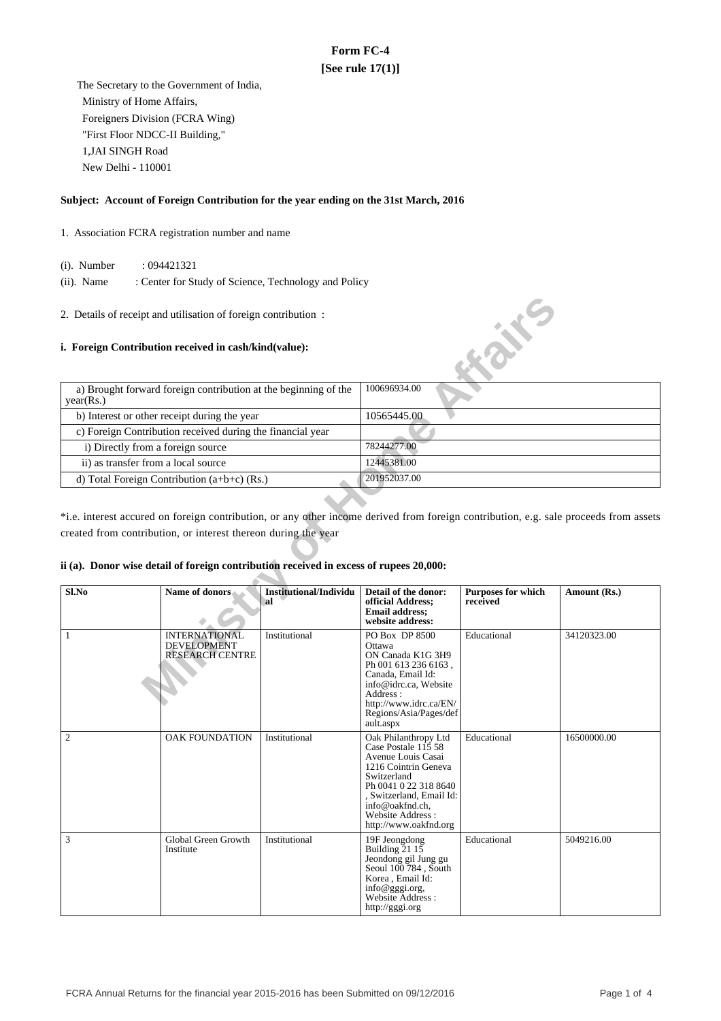# **Form FC-4 [See rule 17(1)]**

 The Secretary to the Government of India, Ministry of Home Affairs, Foreigners Division (FCRA Wing) "First Floor NDCC-II Building," 1,JAI SINGH Road New Delhi - 110001

### **Subject: Account of Foreign Contribution for the year ending on the 31st March, 2016**

- 1. Association FCRA registration number and name
	- (i). Number : 094421321
	- (ii). Name : Center for Study of Science, Technology and Policy
- 2. Details of receipt and utilisation of foreign contribution :

#### **i. Foreign Contribution received in cash/kind(value):**



\*i.e. interest accured on foreign contribution, or any other income derived from foreign contribution, e.g. sale proceeds from assets created from contribution, or interest thereon during the year

### **ii (a). Donor wise detail of foreign contribution received in excess of rupees 20,000:**

| S1.No          | Name of donors                                                       | <b>Institutional/Individu</b><br>`al | Detail of the donor:<br>official Address;<br><b>Email address:</b><br>website address:                                                                                                                                        | <b>Purposes for which</b><br>received | Amount (Rs.) |
|----------------|----------------------------------------------------------------------|--------------------------------------|-------------------------------------------------------------------------------------------------------------------------------------------------------------------------------------------------------------------------------|---------------------------------------|--------------|
| 1              | <b>INTERNATIONAL</b><br><b>DEVELOPMENT</b><br><b>RESEARCH CENTRE</b> | Institutional                        | PO Box DP 8500<br>Ottawa<br>ON Canada K1G 3H9<br>Ph 001 613 236 6163,<br>Canada, Email Id:<br>info@idrc.ca, Website<br>Address:<br>http://www.idrc.ca/EN/<br>Regions/Asia/Pages/def<br>ault.aspx                              | Educational                           | 34120323.00  |
| $\overline{c}$ | <b>OAK FOUNDATION</b>                                                | Institutional                        | Oak Philanthropy Ltd<br>Case Postale 115 58<br>Avenue Louis Casai<br>1216 Cointrin Geneva<br>Switzerland<br>Ph 0041 0 22 318 8640<br>, Switzerland, Email Id:<br>info@oakfnd.ch.<br>Website Address:<br>http://www.oakfnd.org | Educational                           | 16500000.00  |
| 3              | Global Green Growth<br>Institute                                     | Institutional                        | 19F Jeongdong<br>Building $21\,15$<br>Jeondong gil Jung gu<br>Seoul 100 784, South<br>Korea, Email Id:<br>info@gggi.org,<br>Website Address:<br>http://gggi.org                                                               | Educational                           | 5049216.00   |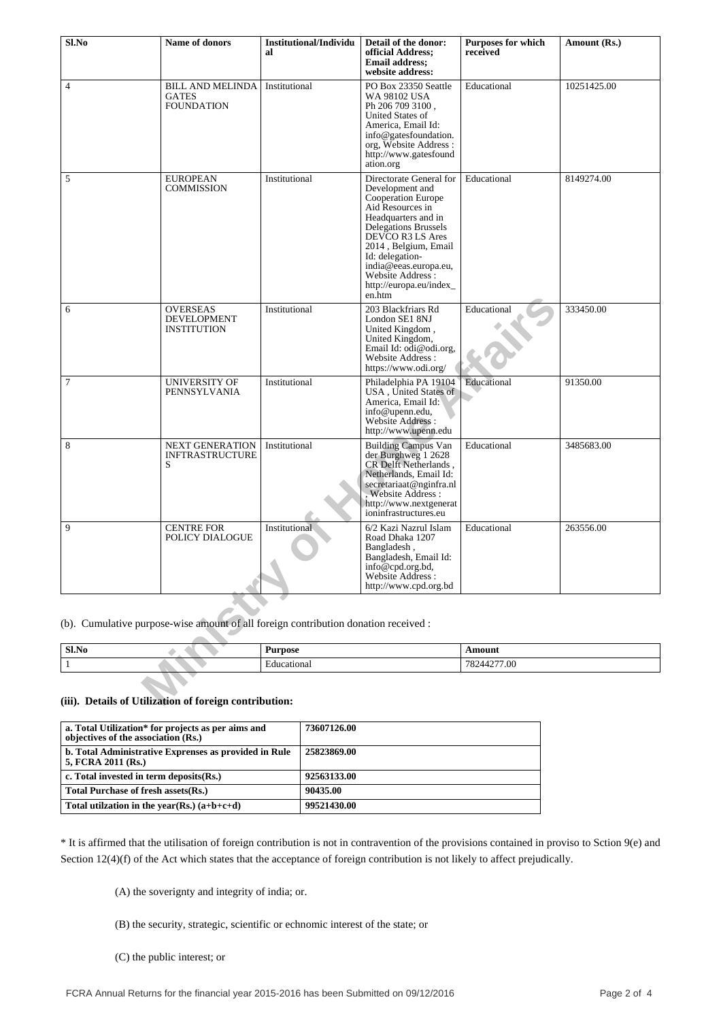| $Sl$ .No                                                                            | Name of donors                                               | <b>Institutional/Individu</b><br>al | Detail of the donor:<br>official Address;<br><b>Email address:</b><br>website address:                                                                                                                                                                                                      | <b>Purposes for which</b><br>received | Amount (Rs.) |
|-------------------------------------------------------------------------------------|--------------------------------------------------------------|-------------------------------------|---------------------------------------------------------------------------------------------------------------------------------------------------------------------------------------------------------------------------------------------------------------------------------------------|---------------------------------------|--------------|
| $\overline{4}$                                                                      | <b>BILL AND MELINDA</b><br><b>GATES</b><br><b>FOUNDATION</b> | Institutional                       | PO Box 23350 Seattle<br>WA 98102 USA<br>Ph 206 709 3100,<br><b>United States of</b><br>America, Email Id:<br>info@gatesfoundation.<br>org, Website Address :<br>http://www.gatesfound<br>ation.org                                                                                          | Educational                           | 10251425.00  |
| 5                                                                                   | <b>EUROPEAN</b><br><b>COMMISSION</b>                         | Institutional                       | Directorate General for<br>Development and<br>Cooperation Europe<br>Aid Resources in<br>Headquarters and in<br><b>Delegations Brussels</b><br>DEVCO R3 LS Ares<br>2014, Belgium, Email<br>Id: delegation-<br>india@eeas.europa.eu,<br>Website Address:<br>http://europa.eu/index_<br>en.htm | Educational                           | 8149274.00   |
| 6                                                                                   | <b>OVERSEAS</b><br>DEVELOPMENT<br><b>INSTITUTION</b>         | Institutional                       | 203 Blackfriars Rd<br>London SE1 8NJ<br>United Kingdom,<br>United Kingdom,<br>Email Id: odi@odi.org,<br>Website Address:<br>https://www.odi.org/                                                                                                                                            | Educational                           | 333450.00    |
| 7                                                                                   | <b>UNIVERSITY OF</b><br>PENNSYLVANIA                         | Institutional                       | Philadelphia PA 19104<br>USA, United States of<br>America, Email Id:<br>info@upenn.edu,<br>Website Address:<br>http://www.upenn.edu                                                                                                                                                         | Educational                           | 91350.00     |
| 8                                                                                   | <b>NEXT GENERATION</b><br><b>INFTRASTRUCTURE</b><br>S        | Institutional                       | <b>Building Campus Van</b><br>der Burghweg 1 2628<br>CR Delft Netherlands,<br>Netherlands, Email Id:<br>secretariaat@nginfra.nl<br>, Website Address :<br>http://www.nextgenerat<br>ioninfrastructures.eu                                                                                   | Educational                           | 3485683.00   |
| 9                                                                                   | <b>CENTRE FOR</b><br>POLICY DIALOGUE                         | Institutional                       | 6/2 Kazi Nazrul Islam<br>Road Dhaka 1207<br>Bangladesh,<br>Bangladesh, Email Id:<br>info@cpd.org.bd,<br>Website Address :<br>http://www.cpd.org.bd                                                                                                                                          | Educational                           | 263556.00    |
| (b). Cumulative purpose-wise amount of all foreign contribution donation received : |                                                              |                                     |                                                                                                                                                                                                                                                                                             |                                       |              |
| Sl.No                                                                               |                                                              | <b>Purpose</b>                      |                                                                                                                                                                                                                                                                                             | Amount                                |              |
| $\mathbf{1}$                                                                        |                                                              | Educational                         |                                                                                                                                                                                                                                                                                             | 78244277.00                           |              |
| (iii). Details of Utilization of foreign contribution:                              |                                                              |                                     |                                                                                                                                                                                                                                                                                             |                                       |              |

| Sl.No | Purpose<br>-      | \mount                                           |
|-------|-------------------|--------------------------------------------------|
|       | - -<br>ducational | 1277.00<br>70,<br>7.UU<br>0 <sup>L</sup><br>A4Z. |

## **(iii). Details of Utilization of foreign contribution:**

| a. Total Utilization* for projects as per aims and<br>objectives of the association (Rs.) | 73607126.00 |
|-------------------------------------------------------------------------------------------|-------------|
| b. Total Administrative Exprenses as provided in Rule<br>5, FCRA 2011 (Rs.)               | 25823869.00 |
| c. Total invested in term deposits $(Rs.)$                                                | 92563133.00 |
| Total Purchase of fresh assets (Rs.)                                                      | 90435.00    |
| Total utilization in the year(Rs.) $(a+b+c+d)$                                            | 99521430.00 |

\* It is affirmed that the utilisation of foreign contribution is not in contravention of the provisions contained in proviso to Sction 9(e) and Section 12(4)(f) of the Act which states that the acceptance of foreign contribution is not likely to affect prejudically.

(A) the soverignty and integrity of india; or.

(B) the security, strategic, scientific or echnomic interest of the state; or

(C) the public interest; or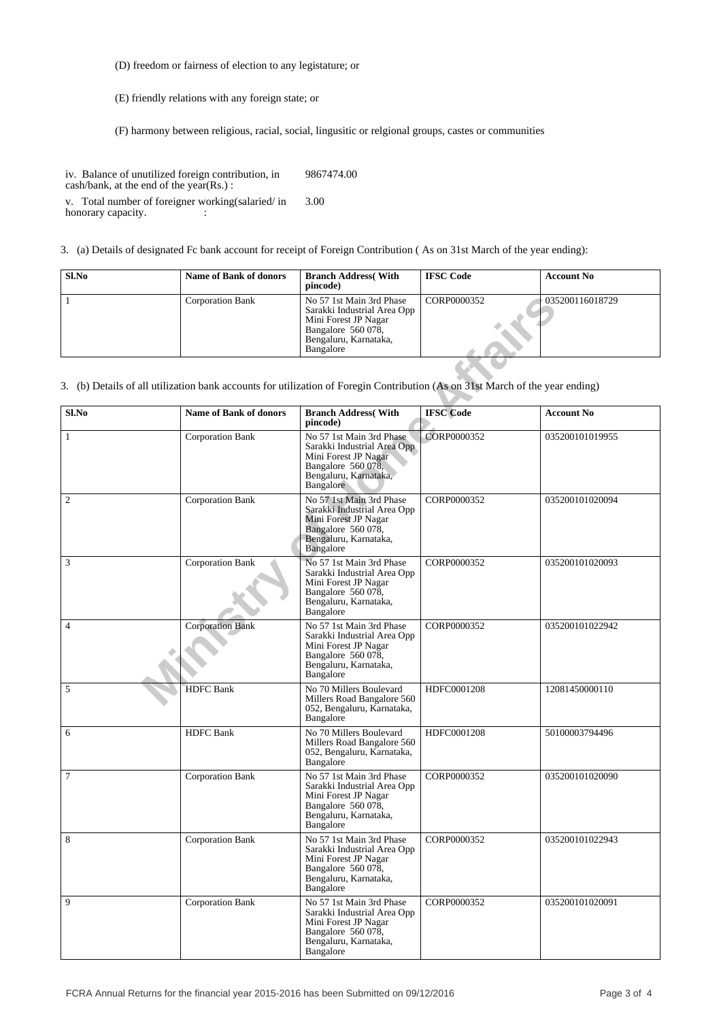(D) freedom or fairness of election to any legistature; or

(E) friendly relations with any foreign state; or

(F) harmony between religious, racial, social, lingusitic or relgional groups, castes or communities

iv. Balance of unutilized foreign contribution, in cash/bank, at the end of the year(Rs.) : 9867474.00 v. Total number of foreigner working(salaried/ in honorary capacity.  $\cdot$ 3.00

3. (a) Details of designated Fc bank account for receipt of Foreign Contribution ( As on 31st March of the year ending):

| Sl.No | <b>Name of Bank of donors</b> | <b>Branch Address</b> (With<br>pincode)                                                                                                       | <b>IFSC Code</b> | <b>Account No</b> |
|-------|-------------------------------|-----------------------------------------------------------------------------------------------------------------------------------------------|------------------|-------------------|
|       | <b>Corporation Bank</b>       | No 57 1st Main 3rd Phase<br>Sarakki Industrial Area Opp  <br>Mini Forest JP Nagar<br>Bangalore 560 078,<br>Bengaluru, Karnataka,<br>Bangalore | CORP0000352      | 035200116018729   |

### 3. (b) Details of all utilization bank accounts for utilization of Foregin Contribution (As on 31st March of the year ending)

| 1                                                                                                                             | <b>Corporation Bank</b>       | No 57 1st Main 3rd Phase<br>Sarakki Industrial Area Opp<br>Mini Forest JP Nagar<br>Bangalore 560 078,<br>Bengaluru, Karnataka,<br>Bangalore | CORP0000352      | 035200116018729   |  |  |  |
|-------------------------------------------------------------------------------------------------------------------------------|-------------------------------|---------------------------------------------------------------------------------------------------------------------------------------------|------------------|-------------------|--|--|--|
| 3. (b) Details of all utilization bank accounts for utilization of Foregin Contribution (As on 31st March of the year ending) |                               |                                                                                                                                             |                  |                   |  |  |  |
| Sl.No                                                                                                                         | <b>Name of Bank of donors</b> | <b>Branch Address</b> (With<br>pincode)                                                                                                     | <b>IFSC</b> Code | <b>Account No</b> |  |  |  |
| $\mathbf{1}$                                                                                                                  | <b>Corporation Bank</b>       | No 57 1st Main 3rd Phase<br>Sarakki Industrial Area Opp<br>Mini Forest JP Nagar<br>Bangalore 560 078,<br>Bengaluru, Karnataka,<br>Bangalore | CORP0000352      | 035200101019955   |  |  |  |
| $\mathfrak{2}$                                                                                                                | Corporation Bank              | No 57 1st Main 3rd Phase<br>Sarakki Industrial Area Opp<br>Mini Forest JP Nagar<br>Bangalore 560 078,<br>Bengaluru, Karnataka,<br>Bangalore | CORP0000352      | 035200101020094   |  |  |  |
| 3                                                                                                                             | <b>Corporation Bank</b>       | No 57 1st Main 3rd Phase<br>Sarakki Industrial Area Opp<br>Mini Forest JP Nagar<br>Bangalore 560 078,<br>Bengaluru, Karnataka,<br>Bangalore | CORP0000352      | 035200101020093   |  |  |  |
| $\overline{4}$                                                                                                                | <b>Corporation Bank</b>       | No 57 1st Main 3rd Phase<br>Sarakki Industrial Area Opp<br>Mini Forest JP Nagar<br>Bangalore 560 078,<br>Bengaluru, Karnataka,<br>Bangalore | CORP0000352      | 035200101022942   |  |  |  |
| 5                                                                                                                             | <b>HDFC</b> Bank              | No 70 Millers Boulevard<br>Millers Road Bangalore 560<br>052, Bengaluru, Karnataka,<br>Bangalore                                            | HDFC0001208      | 12081450000110    |  |  |  |
| 6                                                                                                                             | <b>HDFC</b> Bank              | No 70 Millers Boulevard<br>Millers Road Bangalore 560<br>052, Bengaluru, Karnataka,<br>Bangalore                                            | HDFC0001208      | 50100003794496    |  |  |  |
| 7                                                                                                                             | Corporation Bank              | No 57 1st Main 3rd Phase<br>Sarakki Industrial Area Opp<br>Mini Forest JP Nagar<br>Bangalore 560 078,<br>Bengaluru, Karnataka,<br>Bangalore | CORP0000352      | 035200101020090   |  |  |  |
| $\,$ 8 $\,$                                                                                                                   | <b>Corporation Bank</b>       | No 57 1st Main 3rd Phase<br>Sarakki Industrial Area Opp<br>Mini Forest JP Nagar<br>Bangalore 560 078,<br>Bengaluru, Karnataka,<br>Bangalore | CORP0000352      | 035200101022943   |  |  |  |
| 9                                                                                                                             | Corporation Bank              | No 57 1st Main 3rd Phase<br>Sarakki Industrial Area Opp<br>Mini Forest JP Nagar<br>Bangalore 560 078,<br>Bengaluru, Karnataka,<br>Bangalore | CORP0000352      | 035200101020091   |  |  |  |